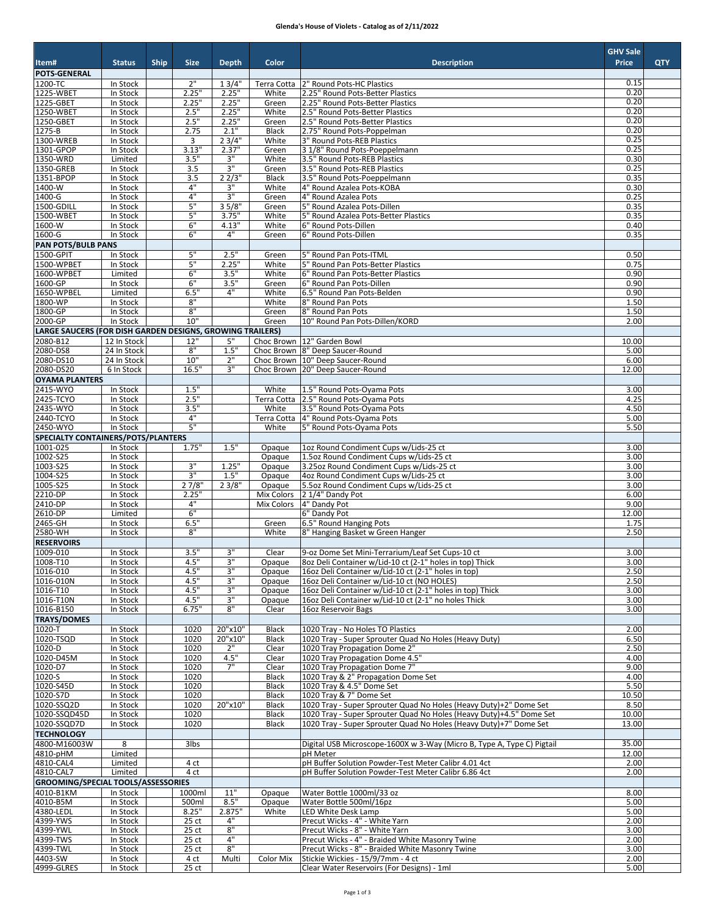## **Glenda's House of Violets - Catalog as of 2/11/2022**

|                                                           |                            |             |                |               |                       |                                                                                                         | <b>GHV Sale</b> |     |
|-----------------------------------------------------------|----------------------------|-------------|----------------|---------------|-----------------------|---------------------------------------------------------------------------------------------------------|-----------------|-----|
| Item#                                                     | <b>Status</b>              | <b>Ship</b> | <b>Size</b>    | <b>Depth</b>  | Color                 | <b>Description</b>                                                                                      | <b>Price</b>    | QTY |
| <b>POTS-GENERAL</b><br>1200-TC                            | In Stock                   |             | 2"             | 13/4'         | Terra Cotta           | 2" Round Pots-HC Plastics                                                                               | 0.15            |     |
| 1225-WBET                                                 | In Stock                   |             | 2.25"          | 2.25"         | White                 | 2.25" Round Pots-Better Plastics                                                                        | 0.20            |     |
| 1225-GBET                                                 | In Stock                   |             | 2.25'          | 2.25"         | Green                 | 2.25" Round Pots-Better Plastics                                                                        | 0.20            |     |
| 1250-WBET                                                 | In Stock                   |             | 2.5"           | 2.25"         | White                 | 2.5" Round Pots-Better Plastics                                                                         | 0.20<br>0.20    |     |
| 1250-GBET<br>1275-B                                       | In Stock<br>In Stock       |             | 2.5"<br>2.75   | 2.25"<br>2.1" | Green<br>Black        | 2.5" Round Pots-Better Plastics<br>2.75" Round Pots-Poppelman                                           | 0.20            |     |
| 1300-WREB                                                 | In Stock                   |             | 3              | 23/4"         | White                 | 3" Round Pots-REB Plastics                                                                              | 0.25            |     |
| 1301-GPOP                                                 | In Stock                   |             | 3.13"          | 2.37"         | Green                 | 3 1/8" Round Pots-Poeppelmann                                                                           | 0.25            |     |
| 1350-WRD                                                  | Limited                    |             | 3.5"           | 3"            | White                 | 3.5" Round Pots-REB Plastics                                                                            | 0.30            |     |
| 1350-GREB<br>1351-BPOP                                    | In Stock<br>In Stock       |             | 3.5<br>3.5     | 3"<br>22/3"   | Green<br>Black        | 3.5" Round Pots-REB Plastics<br>3.5" Round Pots-Poeppelmann                                             | 0.25<br>0.35    |     |
| 1400-W                                                    | In Stock                   |             | 4"             | 3"            | White                 | 4" Round Azalea Pots-KOBA                                                                               | 0.30            |     |
| 1400-G                                                    | In Stock                   |             | 4"             | 3"            | Green                 | 4" Round Azalea Pots                                                                                    | 0.25            |     |
| 1500-GDILL                                                | In Stock                   |             | 5"             | 35/8"         | Green                 | 5" Round Azalea Pots-Dillen                                                                             | 0.35            |     |
| 1500-WBET                                                 | In Stock                   |             | 5"<br>6"       | 3.75"         | White                 | 5" Round Azalea Pots-Better Plastics                                                                    | 0.35            |     |
| 1600-W<br>1600-G                                          | In Stock<br>In Stock       |             | 6"             | 4.13"<br>4"   | White<br>Green        | 6" Round Pots-Dillen<br>6" Round Pots-Dillen                                                            | 0.40<br>0.35    |     |
| <b>PAN POTS/BULB PANS</b>                                 |                            |             |                |               |                       |                                                                                                         |                 |     |
| 1500-GPIT                                                 | In Stock                   |             | 5"             | 2.5"          | Green                 | 5" Round Pan Pots-ITML                                                                                  | 0.50            |     |
| 1500-WPBET                                                | In Stock                   |             | 5"             | 2.25"         | White                 | 5" Round Pan Pots-Better Plastics                                                                       | 0.75            |     |
| 1600-WPBET                                                | Limited                    |             | 6"             | 3.5"          | White                 | 6" Round Pan Pots-Better Plastics                                                                       | 0.90            |     |
| 1600-GP<br>1650-WPBEL                                     | In Stock<br>Limited        |             | 6"<br>6.5'     | 3.5"<br>4"    | Green<br>White        | 6" Round Pan Pots-Dillen<br>6.5" Round Pan Pots-Belden                                                  | 0.90<br>0.90    |     |
| 1800-WP                                                   | In Stock                   |             | 8"             |               | White                 | 8" Round Pan Pots                                                                                       | 1.50            |     |
| 1800-GP                                                   | In Stock                   |             | 8"             |               | Green                 | 8" Round Pan Pots                                                                                       | 1.50            |     |
| 2000-GP                                                   | In Stock                   |             | 10"            |               | Green                 | 10" Round Pan Pots-Dillen/KORD                                                                          | 2.00            |     |
| LARGE SAUCERS (FOR DISH GARDEN DESIGNS, GROWING TRAILERS) |                            |             |                |               |                       |                                                                                                         |                 |     |
| 2080-B12<br>2080-DS8                                      | 12 In Stock<br>24 In Stock |             | 12"<br>8"      | 5"<br>1.5"    |                       | Choc Brown   12" Garden Bowl<br>Choc Brown 8" Deep Saucer-Round                                         | 10.00<br>5.00   |     |
| 2080-DS10                                                 | 24 In Stock                |             | 10"            | 2"            |                       | Choc Brown 10" Deep Saucer-Round                                                                        | 6.00            |     |
| 2080-DS20                                                 | 6 In Stock                 |             | 16.5"          | 3"            |                       | Choc Brown 20" Deep Saucer-Round                                                                        | 12.00           |     |
| <b>OYAMA PLANTERS</b>                                     |                            |             |                |               |                       |                                                                                                         |                 |     |
| 2415-WYO                                                  | In Stock                   |             | 1.5"           |               | White                 | 1.5" Round Pots-Oyama Pots                                                                              | 3.00            |     |
| 2425-TCYO                                                 | In Stock                   |             | 2.5"           |               | Terra Cotta           | 2.5" Round Pots-Oyama Pots                                                                              | 4.25            |     |
| 2435-WYO<br>2440-TCYO                                     | In Stock<br>In Stock       |             | 3.5"<br>4"     |               | White<br>Terra Cotta  | 3.5" Round Pots-Oyama Pots<br>4" Round Pots-Oyama Pots                                                  | 4.50<br>5.00    |     |
| 2450-WYO                                                  | In Stock                   |             | 5"             |               | White                 | 5" Round Pots-Oyama Pots                                                                                | 5.50            |     |
| <b>SPECIALTY CONTAINERS/POTS/PLANTERS</b>                 |                            |             |                |               |                       |                                                                                                         |                 |     |
| 1001-025                                                  | In Stock                   |             | 1.75"          | 1.5"          | Opaque                | 1oz Round Condiment Cups w/Lids-25 ct                                                                   | 3.00            |     |
| 1002-S25                                                  | In Stock                   |             |                |               | Opaque                | 1.5oz Round Condiment Cups w/Lids-25 ct                                                                 | 3.00            |     |
| 1003-S25<br>1004-S25                                      | In Stock<br>In Stock       |             | 3"<br>3"       | 1.25"<br>1.5" | Opaque<br>Opaque      | 3.25oz Round Condiment Cups w/Lids-25 ct<br>4oz Round Condiment Cups w/Lids-25 ct                       | 3.00<br>3.00    |     |
| 1005-S25                                                  | In Stock                   |             | 27/8"          | 23/8"         | Opaque                | 5.5oz Round Condiment Cups w/Lids-25 ct                                                                 | 3.00            |     |
| 2210-DP                                                   | In Stock                   |             | 2.25"          |               | Mix Colors            | 2 1/4" Dandy Pot                                                                                        | 6.00            |     |
| 2410-DP                                                   | In Stock                   |             | 4"             |               | Mix Colors            | 4" Dandy Pot                                                                                            | 9.00            |     |
| 2610-DP                                                   | Limited<br>In Stock        |             | 6"<br>6.5"     |               |                       | 6" Dandy Pot<br>6.5" Round Hanging Pots                                                                 | 12.00<br>1.75   |     |
| 2465-GH<br>2580-WH                                        | In Stock                   |             | 8"             |               | Green<br>White        | 8" Hanging Basket w Green Hanger                                                                        | 2.50            |     |
| <b>RESERVOIRS</b>                                         |                            |             |                |               |                       |                                                                                                         |                 |     |
| 1009-010                                                  | In Stock                   |             | 3.5"           | З"            | Clear                 | 9-oz Dome Set Mini-Terrarium/Leaf Set Cups-10 ct                                                        | 3.00            |     |
| 1008-T10                                                  | In Stock                   |             | 4.5"           | з"            | Opaque                | 80z Deli Container w/Lid-10 ct (2-1" holes in top) Thick                                                | 3.00            |     |
| 1016-010                                                  | In Stock                   |             | 4.5"           | 3"            | Opaque                | 16oz Deli Container w/Lid-10 ct (2-1" holes in top)                                                     | 2.50            |     |
| 1016-010N<br>1016-T10                                     | In Stock<br>In Stock       |             | 4.5"<br>4.5"   | З"<br>3"      | Opaque<br>Opaque      | 16oz Deli Container w/Lid-10 ct (NO HOLES)<br>16oz Deli Container w/Lid-10 ct (2-1" holes in top) Thick | 2.50<br>3.00    |     |
| 1016-T10N                                                 | In Stock                   |             | 4.5"           | 3"            | Opaque                | 16oz Deli Container w/Lid-10 ct (2-1" no holes Thick                                                    | 3.00            |     |
| 1016-B150                                                 | In Stock                   |             | 6.75"          | 8"            | Clear                 | 16oz Reservoir Bags                                                                                     | 3.00            |     |
| <b>TRAYS/DOMES</b>                                        |                            |             |                |               |                       |                                                                                                         |                 |     |
| 1020-T                                                    | In Stock                   |             | 1020           | 20"x10"       | Black                 | 1020 Tray - No Holes TO Plastics                                                                        | 2.00            |     |
| 1020-TSQD<br>1020-D                                       | In Stock<br>In Stock       |             | 1020<br>1020   | 20"x10"<br>2" | Black<br>Clear        | 1020 Tray - Super Sprouter Quad No Holes (Heavy Duty)<br>1020 Tray Propagation Dome 2"                  | 6.50<br>2.50    |     |
| 1020-D45M                                                 | In Stock                   |             | 1020           | 4.5"          | Clear                 | 1020 Tray Propagation Dome 4.5"                                                                         | 4.00            |     |
| 1020-D7                                                   | In Stock                   |             | 1020           | 7"            | Clear                 | 1020 Tray Propagation Dome 7"                                                                           | 9.00            |     |
| 1020-S                                                    | In Stock                   |             | 1020           |               | Black                 | 1020 Tray & 2" Propagation Dome Set                                                                     | 4.00            |     |
| 1020-S45D                                                 | In Stock                   |             | 1020           |               | <b>Black</b>          | 1020 Tray & 4.5" Dome Set                                                                               | 5.50            |     |
| 1020-S7D<br>1020-SSQ2D                                    | In Stock<br>In Stock       |             | 1020<br>1020   | 20"x10"       | <b>Black</b><br>Black | 1020 Tray & 7" Dome Set<br>1020 Tray - Super Sprouter Quad No Holes (Heavy Duty)+2" Dome Set            | 10.50<br>8.50   |     |
| 1020-SSQD45D                                              | In Stock                   |             | 1020           |               | Black                 | 1020 Tray - Super Sprouter Quad No Holes (Heavy Duty)+4.5" Dome Set                                     | 10.00           |     |
| 1020-SSQD7D                                               | In Stock                   |             | 1020           |               | Black                 | 1020 Tray - Super Sprouter Quad No Holes (Heavy Duty)+7" Dome Set                                       | 13.00           |     |
| <b>TECHNOLOGY</b>                                         |                            |             |                |               |                       |                                                                                                         |                 |     |
| 4800-M16003W                                              | 8                          |             | 3lbs           |               |                       | Digital USB Microscope-1600X w 3-Way (Micro B, Type A, Type C) Pigtail                                  | 35.00           |     |
| 4810-pHM<br>4810-CAL4                                     | Limited<br>Limited         |             | 4 ct           |               |                       | pH Meter<br>pH Buffer Solution Powder-Test Meter Calibr 4.01 4ct                                        | 12.00<br>2.00   |     |
| 4810-CAL7                                                 | Limited                    |             | 4 ct           |               |                       | pH Buffer Solution Powder-Test Meter Calibr 6.86 4ct                                                    | 2.00            |     |
| <b>GROOMING/SPECIAL TOOLS/ASSESSORIES</b>                 |                            |             |                |               |                       |                                                                                                         |                 |     |
| 4010-B1KM                                                 | In Stock                   |             | 1000ml         | 11"           | Opaque                | Water Bottle 1000ml/33 oz                                                                               | 8.00            |     |
| 4010-B5M                                                  | In Stock                   |             | 500ml          | 8.5"          | Opaque                | Water Bottle 500ml/16pz                                                                                 | 5.00            |     |
| 4380-LEDL<br>4399-YWS                                     | In Stock<br>In Stock       |             | 8.25"<br>25 ct | 2.875"<br>4"  | White                 | LED White Desk Lamp<br>Precut Wicks - 4" - White Yarn                                                   | 5.00<br>2.00    |     |
| 4399-YWL                                                  | In Stock                   |             | 25 ct          | 8"            |                       | Precut Wicks - 8" - White Yarn                                                                          | 3.00            |     |
| 4399-TWS                                                  | In Stock                   |             | 25 ct          | 4"            |                       | Precut Wicks - 4" - Braided White Masonry Twine                                                         | 2.00            |     |
| 4399-TWL                                                  | In Stock                   |             | 25 ct          | 8"            |                       | Precut Wicks - 8" - Braided White Masonry Twine                                                         | 3.00            |     |
| 4403-SW                                                   | In Stock                   |             | 4 ct           | Multi         | Color Mix             | Stickie Wickies - 15/9/7mm - 4 ct                                                                       | 2.00            |     |
| 4999-GLRES                                                | In Stock                   |             | 25 ct          |               |                       | Clear Water Reservoirs (For Designs) - 1ml                                                              | 5.00            |     |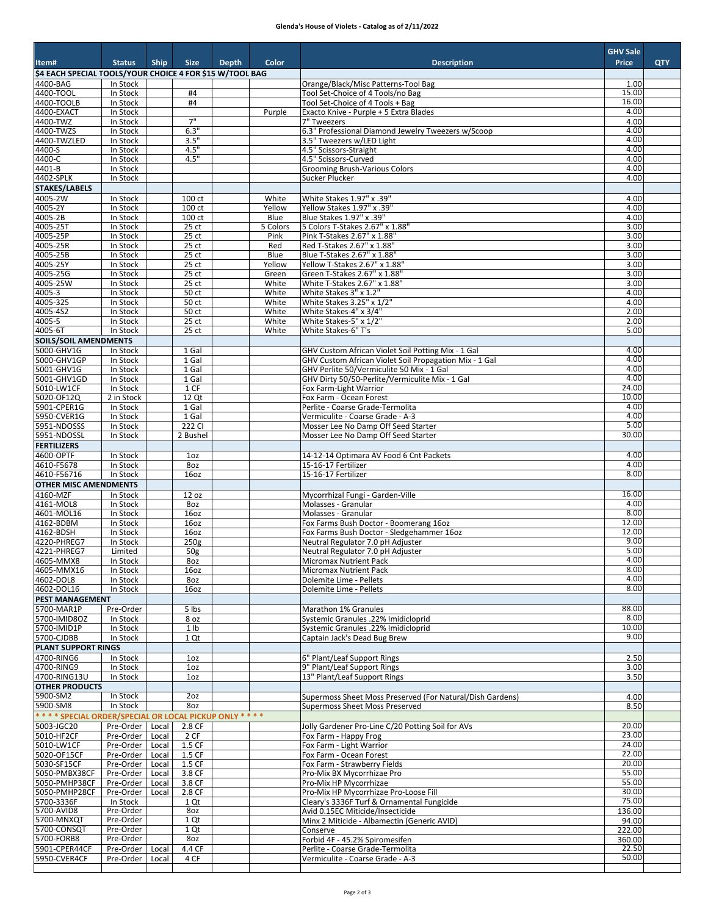## **Glenda's House of Violets - Catalog as of 2/11/2022**

|                                                          |                        |                |                         |              |                  |                                                                                                              | <b>GHV Sale</b> |            |
|----------------------------------------------------------|------------------------|----------------|-------------------------|--------------|------------------|--------------------------------------------------------------------------------------------------------------|-----------------|------------|
| Item#                                                    | <b>Status</b>          | <b>Ship</b>    | <b>Size</b>             | <b>Depth</b> | Color            | <b>Description</b>                                                                                           | <b>Price</b>    | <b>QTY</b> |
| \$4 EACH SPECIAL TOOLS/YOUR CHOICE 4 FOR \$15 W/TOOL BAG |                        |                |                         |              |                  |                                                                                                              |                 |            |
| 4400-BAG                                                 | In Stock               |                |                         |              |                  | Orange/Black/Misc Patterns-Tool Bag                                                                          | 1.00            |            |
| 4400-TOOL<br>4400-TOOLB                                  | In Stock<br>In Stock   |                | #4<br>#4                |              |                  | Tool Set-Choice of 4 Tools/no Bag<br>Tool Set-Choice of 4 Tools + Bag                                        | 15.00<br>16.00  |            |
| 4400-EXACT                                               | In Stock               |                |                         |              | Purple           | Exacto Knive - Purple + 5 Extra Blades                                                                       | 4.00            |            |
| 4400-TWZ                                                 | In Stock               |                | 7"                      |              |                  | 7" Tweezers                                                                                                  | 4.00            |            |
| 4400-TWZS                                                | In Stock               |                | 6.3"                    |              |                  | 6.3" Professional Diamond Jewelry Tweezers w/Scoop                                                           | 4.00            |            |
| 4400-TWZLED                                              | In Stock               |                | 3.5"                    |              |                  | 3.5" Tweezers w/LED Light                                                                                    | 4.00            |            |
| 4400-S<br>4400-C                                         | In Stock<br>In Stock   |                | 4.5"<br>4.5"            |              |                  | 4.5" Scissors-Straight<br>4.5" Scissors-Curved                                                               | 4.00<br>4.00    |            |
| 4401-B                                                   | In Stock               |                |                         |              |                  | <b>Grooming Brush-Various Colors</b>                                                                         | 4.00            |            |
| 4402-SPLK                                                | In Stock               |                |                         |              |                  | Sucker Plucker                                                                                               | 4.00            |            |
| <b>STAKES/LABELS</b>                                     |                        |                |                         |              |                  |                                                                                                              |                 |            |
| 4005-2W                                                  | In Stock               |                | 100 ct                  |              | White            | White Stakes 1.97" x .39"                                                                                    | 4.00            |            |
| 4005-2Y                                                  | In Stock               |                | 100 ct                  |              | Yellow           | Yellow Stakes 1.97" x .39"                                                                                   | 4.00            |            |
| 4005-2B<br>4005-25T                                      | In Stock<br>In Stock   |                | 100 ct<br>25 ct         |              | Blue<br>5 Colors | Blue Stakes 1.97" x .39"<br>5 Colors T-Stakes 2.67" x 1.88"                                                  | 4.00<br>3.00    |            |
| 4005-25P                                                 | In Stock               |                | 25 ct                   |              | Pink             | Pink T-Stakes 2.67" x 1.88"                                                                                  | 3.00            |            |
| 4005-25R                                                 | In Stock               |                | 25 ct                   |              | Red              | Red T-Stakes 2.67" x 1.88"                                                                                   | 3.00            |            |
| 4005-25B                                                 | In Stock               |                | 25 ct                   |              | Blue             | Blue T-Stakes 2.67" x 1.88"                                                                                  | 3.00            |            |
| 4005-25Y                                                 | In Stock               |                | 25 ct                   |              | Yellow           | Yellow T-Stakes 2.67" x 1.88"                                                                                | 3.00            |            |
| 4005-25G<br>4005-25W                                     | In Stock               |                | 25 ct                   |              | Green<br>White   | Green T-Stakes 2.67" x 1.88"                                                                                 | 3.00<br>3.00    |            |
| 4005-3                                                   | In Stock<br>In Stock   |                | 25 ct<br>50 ct          |              | White            | White T-Stakes 2.67" x 1.88"<br>White Stakes 3" x 1.2"                                                       | 4.00            |            |
| 4005-325                                                 | In Stock               |                | 50 ct                   |              | White            | White Stakes 3.25" x 1/2"                                                                                    | 4.00            |            |
| 4005-4S2                                                 | In Stock               |                | 50 ct                   |              | White            | White Stakes-4" x 3/4"                                                                                       | 2.00            |            |
| 4005-5                                                   | In Stock               |                | 25 ct                   |              | White            | White Stakes-5" x 1/2"                                                                                       | 2.00            |            |
| 4005-6T                                                  | In Stock               |                | 25 ct                   |              | White            | White Stakes-6" T's                                                                                          | 5.00            |            |
| SOILS/SOIL AMENDMENTS                                    |                        |                |                         |              |                  |                                                                                                              | 4.00            |            |
| 5000-GHV1G<br>5000-GHV1GP                                | In Stock<br>In Stock   |                | 1 Gal<br>1 Gal          |              |                  | GHV Custom African Violet Soil Potting Mix - 1 Gal<br>GHV Custom African Violet Soil Propagation Mix - 1 Gal | 4.00            |            |
| 5001-GHV1G                                               | In Stock               |                | 1 Gal                   |              |                  | GHV Perlite 50/Vermiculite 50 Mix - 1 Gal                                                                    | 4.00            |            |
| 5001-GHV1GD                                              | In Stock               |                | 1 Gal                   |              |                  | GHV Dirty 50/50-Perlite/Vermiculite Mix - 1 Gal                                                              | 4.00            |            |
| 5010-LW1CF                                               | In Stock               |                | 1 CF                    |              |                  | Fox Farm-Light Warrior                                                                                       | 24.00           |            |
| 5020-OF12Q                                               | 2 in Stock             |                | 12 Qt                   |              |                  | Fox Farm - Ocean Forest                                                                                      | 10.00           |            |
| 5901-CPER1G                                              | In Stock               |                | 1 Gal                   |              |                  | Perlite - Coarse Grade-Termolita                                                                             | 4.00<br>4.00    |            |
| 5950-CVER1G<br>5951-NDOSSS                               | In Stock<br>In Stock   |                | 1 Gal<br>222 CI         |              |                  | Vermiculite - Coarse Grade - A-3<br>Mosser Lee No Damp Off Seed Starter                                      | 5.00            |            |
| 5951-NDOSSL                                              | In Stock               |                | 2 Bushel                |              |                  | Mosser Lee No Damp Off Seed Starter                                                                          | 30.00           |            |
| <b>FERTILIZERS</b>                                       |                        |                |                         |              |                  |                                                                                                              |                 |            |
| 4600-OPTF                                                | In Stock               |                | 1oz                     |              |                  | 14-12-14 Optimara AV Food 6 Cnt Packets                                                                      | 4.00            |            |
| 4610-F5678                                               | In Stock               |                | 8oz                     |              |                  | 15-16-17 Fertilizer                                                                                          | 4.00            |            |
| 4610-F56716                                              | In Stock               |                | 16oz                    |              |                  | 15-16-17 Fertilizer                                                                                          | 8.00            |            |
| <b>OTHER MISC AMENDMENTS</b><br>4160-MZF                 |                        |                |                         |              |                  |                                                                                                              | 16.00           |            |
| 4161-MOL8                                                | In Stock<br>In Stock   |                | 12 oz<br>8oz            |              |                  | Mycorrhizal Fungi - Garden-Ville<br>Molasses - Granular                                                      | 4.00            |            |
| 4601-MOL16                                               | In Stock               |                | 16oz                    |              |                  | Molasses - Granular                                                                                          | 8.00            |            |
| 4162-BDBM                                                | In Stock               |                | 16oz                    |              |                  | Fox Farms Bush Doctor - Boomerang 16oz                                                                       | 12.00           |            |
| 4162-BDSH                                                | In Stock               |                | 16oz                    |              |                  | Fox Farms Bush Doctor - Sledgehammer 16oz                                                                    | 12.00           |            |
| 4220-PHREG7                                              | In Stock               |                | 250g                    |              |                  | Neutral Regulator 7.0 pH Adjuster                                                                            | 9.00<br>5.00    |            |
| 4221-PHREG7<br>4605-MMX8                                 | Limited<br>In Stock    |                | 50g<br>8oz              |              |                  | Neutral Regulator 7.0 pH Adiuster<br>Micromax Nutrient Pack                                                  | 4.00            |            |
| 4605-MMX16                                               | In Stock               |                | 16oz                    |              |                  | <b>Micromax Nutrient Pack</b>                                                                                | 8.00            |            |
| 4602-DOL8                                                | In Stock               |                | 8oz                     |              |                  | Dolemite Lime - Pellets                                                                                      | 4.00            |            |
| 4602-DOL16                                               | In Stock               |                | 16oz                    |              |                  | Dolemite Lime - Pellets                                                                                      | 8.00            |            |
| <b>PEST MANAGEMENT</b>                                   |                        |                |                         |              |                  |                                                                                                              |                 |            |
| 5700-MAR1P<br>5700-IMID80Z                               | Pre-Order              |                | 5 lbs                   |              |                  | Marathon 1% Granules                                                                                         | 88.00<br>8.00   |            |
| 5700-IMID1P                                              | In Stock<br>In Stock   |                | 8 oz<br>1 <sub>lb</sub> |              |                  | Systemic Granules .22% Imidicloprid<br>Systemic Granules .22% Imidicloprid                                   | 10.00           |            |
| 5700-CJDBB                                               | In Stock               |                | 1 Qt                    |              |                  | Captain Jack's Dead Bug Brew                                                                                 | 9.00            |            |
| <b>PLANT SUPPORT RINGS</b>                               |                        |                |                         |              |                  |                                                                                                              |                 |            |
| 4700-RING6                                               | In Stock               |                | 1oz                     |              |                  | 6" Plant/Leaf Support Rings                                                                                  | 2.50            |            |
| 4700-RING9                                               | In Stock               |                | 1oz                     |              |                  | 9" Plant/Leaf Support Rings                                                                                  | 3.00            |            |
| 4700-RING13U<br><b>OTHER PRODUCTS</b>                    | In Stock               |                | 1oz                     |              |                  | 13" Plant/Leaf Support Rings                                                                                 | 3.50            |            |
| 5900-SM2                                                 | In Stock               |                | 2oz                     |              |                  | Supermoss Sheet Moss Preserved (For Natural/Dish Gardens)                                                    | 4.00            |            |
| 5900-SM8                                                 | In Stock               |                | 8oz                     |              |                  | Supermoss Sheet Moss Preserved                                                                               | 8.50            |            |
| **** SPECIAL ORDER/SPECIAL OR LOCAL PICKUP ONLY ****     |                        |                |                         |              |                  |                                                                                                              |                 |            |
| 5003-JGC20                                               | Pre-Order              | Local          | 2.8 CF                  |              |                  | Jolly Gardener Pro-Line C/20 Potting Soil for AVs                                                            | 20.00           |            |
| 5010-HF2CF                                               | Pre-Order              | Local          | 2 CF                    |              |                  | Fox Farm - Happy Frog                                                                                        | 23.00           |            |
| 5010-LW1CF                                               | Pre-Order              | Local          | 1.5 CF                  |              |                  | Fox Farm - Light Warrior                                                                                     | 24.00<br>22.00  |            |
| 5020-OF15CF<br>5030-SF15CF                               | Pre-Order<br>Pre-Order | Local<br>Local | 1.5 CF<br>1.5 CF        |              |                  | Fox Farm - Ocean Forest<br>Fox Farm - Strawberry Fields                                                      | 20.00           |            |
| 5050-PMBX38CF                                            | Pre-Order              | Local          | 3.8 CF                  |              |                  | Pro-Mix BX Mycorrhizae Pro                                                                                   | 55.00           |            |
| 5050-PMHP38CF                                            | Pre-Order              | Local          | 3.8 CF                  |              |                  | Pro-Mix HP Mycorrhizae                                                                                       | 55.00           |            |
| 5050-PMHP28CF                                            | Pre-Order              | Local          | 2.8 CF                  |              |                  | Pro-Mix HP Mycorrhizae Pro-Loose Fill                                                                        | 30.00           |            |
| 5700-3336F                                               | In Stock               |                | 1 Qt                    |              |                  | Cleary's 3336F Turf & Ornamental Fungicide                                                                   | 75.00           |            |
| 5700-AVID8<br>5700-MNXQT                                 | Pre-Order<br>Pre-Order |                | 8oz<br>1Qt              |              |                  | Avid 0.15EC Miticide/Insecticide                                                                             | 136.00          |            |
| 5700-CONSQT                                              | Pre-Order              |                | 1Qt                     |              |                  | Minx 2 Miticide - Albamectin (Generic AVID)<br>Conserve                                                      | 94.00<br>222.00 |            |
| 5700-FORB8                                               | Pre-Order              |                | 8oz                     |              |                  | Forbid 4F - 45.2% Spiromesifen                                                                               | 360.00          |            |
| 5901-CPER44CF                                            | Pre-Order              | Local          | 4.4 CF                  |              |                  | Perlite - Coarse Grade-Termolita                                                                             | 22.50           |            |
| 5950-CVER4CF                                             | Pre-Order              | Local          | 4 CF                    |              |                  | Vermiculite - Coarse Grade - A-3                                                                             | 50.00           |            |
|                                                          |                        |                |                         |              |                  |                                                                                                              |                 |            |